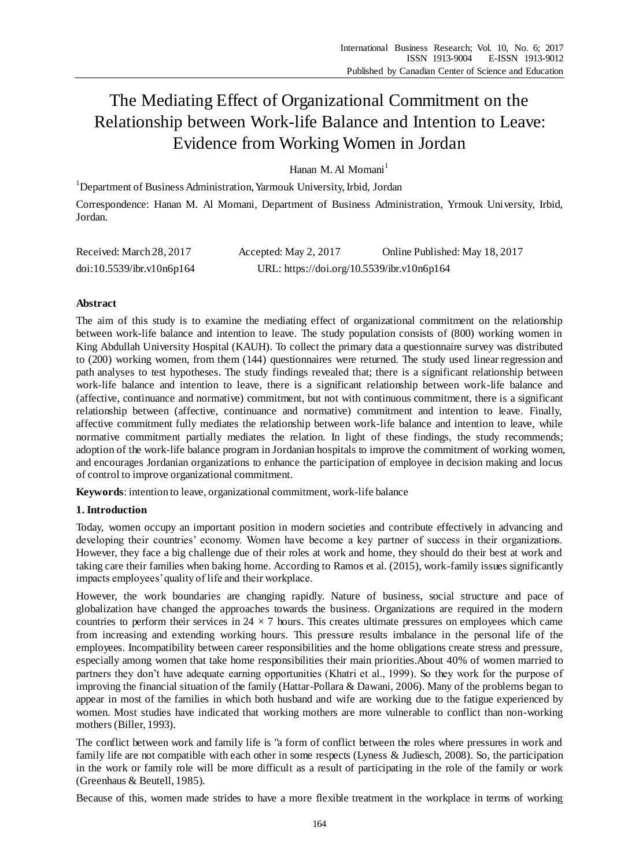# The Mediating Effect of Organizational Commitment on the Relationship between Work-life Balance and Intention to Leave: Evidence from Working Women in Jordan

Hanan M. Al Momani<sup>1</sup>

<sup>1</sup>Department of Business Administration, Yarmouk University, Irbid, Jordan

Correspondence: Hanan M. Al Momani, Department of Business Administration, Yrmouk University, Irbid, Jordan.

| Received: March 28, 2017  | Accepted: May 2, 2017                      | Online Published: May 18, 2017 |
|---------------------------|--------------------------------------------|--------------------------------|
| doi:10.5539/ibr.v10n6p164 | URL: https://doi.org/10.5539/ibr.v10n6p164 |                                |

# **Abstract**

The aim of this study is to examine the mediating effect of organizational commitment on the relationship between work-life balance and intention to leave. The study population consists of (800) working women in King Abdullah University Hospital (KAUH). To collect the primary data a questionnaire survey was distributed to (200) working women, from them (144) questionnaires were returned. The study used linear regression and path analyses to test hypotheses. The study findings revealed that; there is a significant relationship between work-life balance and intention to leave, there is a significant relationship between work-life balance and (affective, continuance and normative) commitment, but not with continuous commitment, there is a significant relationship between (affective, continuance and normative) commitment and intention to leave. Finally, affective commitment fully mediates the relationship between work-life balance and intention to leave, while normative commitment partially mediates the relation. In light of these findings, the study recommends; adoption of the work-life balance program in Jordanian hospitals to improve the commitment of working women, and encourages Jordanian organizations to enhance the participation of employee in decision making and locus of control to improve organizational commitment.

**Keywords**: intention to leave, organizational commitment, work-life balance

# **1. Introduction**

Today, women occupy an important position in modern societies and contribute effectively in advancing and developing their countries' economy. Women have become a key partner of success in their organizations. However, they face a big challenge due of their roles at work and home, they should do their best at work and taking care their families when baking home. According to Ramos et al. (2015), work-family issues significantly impacts employees' quality of life and their workplace.

However, the work boundaries are changing rapidly. Nature of business, social structure and pace of globalization have changed the approaches towards the business. Organizations are required in the modern countries to perform their services in  $24 \times 7$  hours. This creates ultimate pressures on employees which came from increasing and extending working hours. This pressure results imbalance in the personal life of the employees. Incompatibility between career responsibilities and the home obligations create stress and pressure, especially among women that take home responsibilities their main priorities.About 40% of women married to partners they don't have adequate earning opportunities (Khatri et al., 1999). So they work for the purpose of improving the financial situation of the family (Hattar-Pollara & Dawani, 2006). Many of the problems began to appear in most of the families in which both husband and wife are working due to the fatigue experienced by women. Most studies have indicated that working mothers are more vulnerable to conflict than non-working mothers (Biller, 1993).

The conflict between work and family life is "a form of conflict between the roles where pressures in work and family life are not compatible with each other in some respects (Lyness & Judiesch*,* 2008). So, the participation in the work or family role will be more difficult as a result of participating in the role of the family or work (Greenhaus & Beutell, 1985).

Because of this, women made strides to have a more flexible treatment in the workplace in terms of working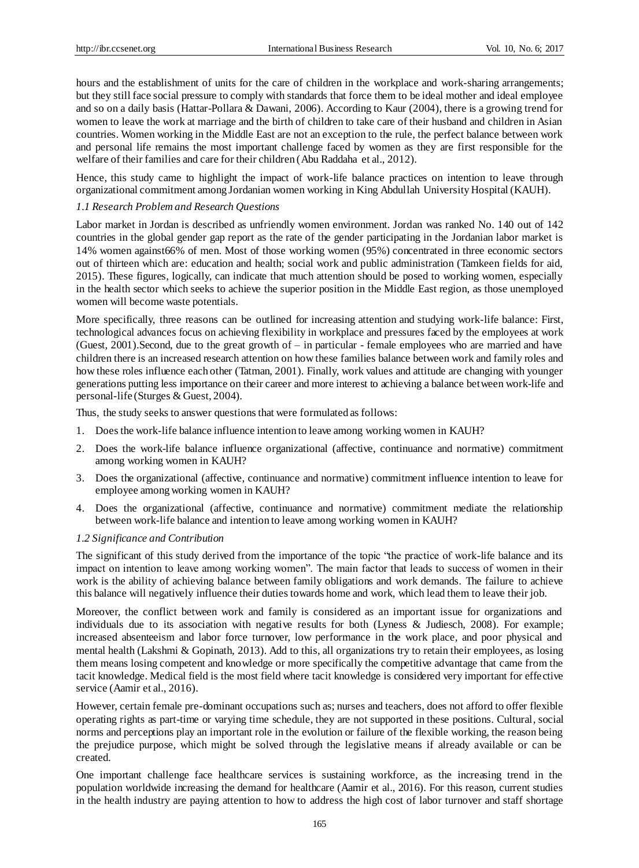hours and the establishment of units for the care of children in the workplace and work-sharing arrangements; but they still face social pressure to comply with standards that force them to be ideal mother and ideal employee and so on a daily basis (Hattar-Pollara & Dawani, 2006). According to Kaur (2004), there is a growing trend for women to leave the work at marriage and the birth of children to take care of their husband and children in Asian countries. Women working in the Middle East are not an exception to the rule, the perfect balance between work and personal life remains the most important challenge faced by women as they are first responsible for the welfare of their families and care for their children (Abu Raddaha et al., 2012).

Hence, this study came to highlight the impact of work-life balance practices on intention to leave through organizational commitment among Jordanian women working in King Abdullah University Hospital (KAUH).

### *1.1 Research Problem and Research Questions*

Labor market in Jordan is described as unfriendly women environment. Jordan was ranked No. 140 out of 142 countries in the global gender gap report as the rate of the gender participating in the Jordanian labor market is 14% women against66% of men. Most of those working women (95%) concentrated in three economic sectors out of thirteen which are: education and health; social work and public administration (Tamkeen fields for aid, 2015). These figures, logically, can indicate that much attention should be posed to working women, especially in the health sector which seeks to achieve the superior position in the Middle East region, as those unemployed women will become waste potentials.

More specifically, three reasons can be outlined for increasing attention and studying work-life balance: First, technological advances focus on achieving flexibility in workplace and pressures faced by the employees at work (Guest, 2001).Second, due to the great growth of – in particular - female employees who are married and have children there is an increased research attention on how these families balance between work and family roles and how these roles influence each other (Tatman, 2001). Finally, work values and attitude are changing with younger generations putting less importance on their career and more interest to achieving a balance between work-life and personal-life (Sturges & Guest, 2004).

Thus, the study seeks to answer questions that were formulated as follows:

- 1. Does the work-life balance influence intention to leave among working women in KAUH?
- 2. Does the work-life balance influence organizational (affective, continuance and normative) commitment among working women in KAUH?
- 3. Does the organizational (affective, continuance and normative) commitment influence intention to leave for employee among working women in KAUH?
- 4. Does the organizational (affective, continuance and normative) commitment mediate the relationship between work-life balance and intention to leave among working women in KAUH?

#### *1.2 Significance and Contribution*

The significant of this study derived from the importance of the topic "the practice of work-life balance and its impact on intention to leave among working women". The main factor that leads to success of women in their work is the ability of achieving balance between family obligations and work demands. The failure to achieve this balance will negatively influence their duties towards home and work, which lead them to leave their job.

Moreover, the conflict between work and family is considered as an important issue for organizations and individuals due to its association with negative results for both (Lyness & Judiesch, 2008). For example; increased absenteeism and labor force turnover, low performance in the work place, and poor physical and mental health (Lakshmi & Gopinath, 2013). Add to this, all organizations try to retain their employees, as losing them means losing competent and knowledge or more specifically the competitive advantage that came from the tacit knowledge. Medical field is the most field where tacit knowledge is considered very important for effe ctive service (Aamir et al., 2016).

However, certain female pre-dominant occupations such as; nurses and teachers, does not afford to offer flexible operating rights as part-time or varying time schedule, they are not supported in these positions. Cultural, social norms and perceptions play an important role in the evolution or failure of the flexible working, the reason being the prejudice purpose, which might be solved through the legislative means if already available or can be created.

One important challenge face healthcare services is sustaining workforce, as the increasing trend in the population worldwide increasing the demand for healthcare (Aamir et al., 2016). For this reason, current studies in the health industry are paying attention to how to address the high cost of labor turnover and staff shortage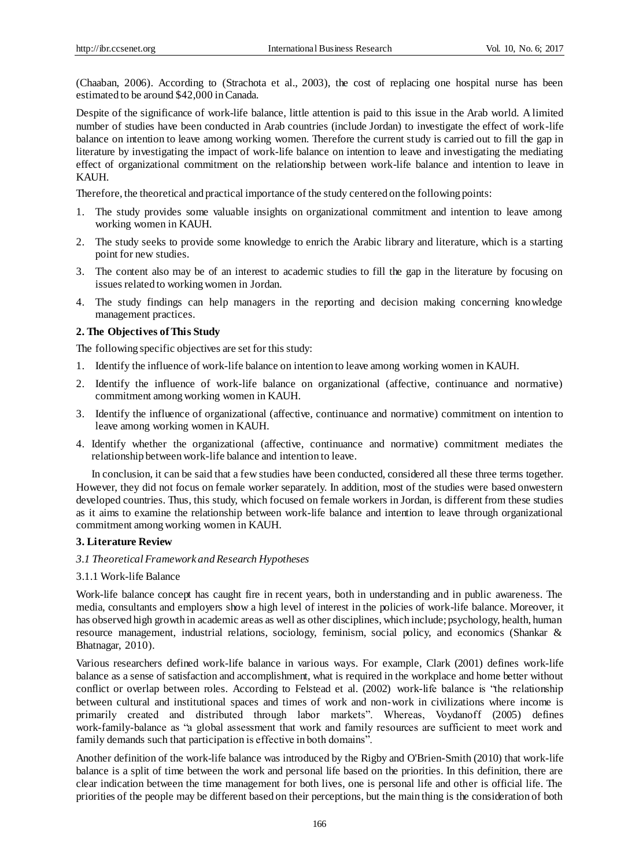(Chaaban, 2006). According to (Strachota et al., 2003), the cost of replacing one hospital nurse has been estimated to be around \$42,000 in Canada.

Despite of the significance of work-life balance, little attention is paid to this issue in the Arab world. A limited number of studies have been conducted in Arab countries (include Jordan) to investigate the effect of work-life balance on intention to leave among working women. Therefore the current study is carried out to fill the gap in literature by investigating the impact of work-life balance on intention to leave and investigating the mediating effect of organizational commitment on the relationship between work-life balance and intention to leave in KAUH.

Therefore, the theoretical and practical importance of the study centered on the following points:

- 1. The study provides some valuable insights on organizational commitment and intention to leave among working women in KAUH.
- 2. The study seeks to provide some knowledge to enrich the Arabic library and literature, which is a starting point for new studies.
- 3. The content also may be of an interest to academic studies to fill the gap in the literature by focusing on issues related to working women in Jordan.
- 4. The study findings can help managers in the reporting and decision making concerning knowledge management practices.

#### **2. The Objectives of This Study**

The following specific objectives are set for this study:

- 1. Identify the influence of work-life balance on intention to leave among working women in KAUH.
- 2. Identify the influence of work-life balance on organizational (affective, continuance and normative) commitment among working women in KAUH.
- 3. Identify the influence of organizational (affective, continuance and normative) commitment on intention to leave among working women in KAUH.
- 4. Identify whether the organizational (affective, continuance and normative) commitment mediates the relationship between work-life balance and intention to leave.

In conclusion, it can be said that a few studies have been conducted, considered all these three terms together. However, they did not focus on female worker separately. In addition, most of the studies were based onwestern developed countries. Thus, this study, which focused on female workers in Jordan, is different from these studies as it aims to examine the relationship between work-life balance and intention to leave through organizational commitment among working women in KAUH.

#### **3. Literature Review**

#### *3.1 Theoretical Framework and Research Hypotheses*

#### 3.1.1 Work-life Balance

Work-life balance concept has caught fire in recent years, both in understanding and in public awareness. The media, consultants and employers show a high level of interest in the policies of work-life balance. Moreover, it has observed high growth in academic areas as well as other disciplines, which include; psychology, health, human resource management, industrial relations, sociology, feminism, social policy, and economics (Shankar & Bhatnagar, 2010).

Various researchers defined work-life balance in various ways. For example, Clark (2001) defines work-life balance as a sense of satisfaction and accomplishment, what is required in the workplace and home better without conflict or overlap between roles. According to Felstead et al. (2002) work-life balance is "the relationship between cultural and institutional spaces and times of work and non-work in civilizations where income is primarily created and distributed through labor markets". Whereas, Voydanoff (2005) defines work-family-balance as "a global assessment that work and family resources are sufficient to meet work and family demands such that participation is effective in both domains".

Another definition of the work-life balance was introduced by the Rigby and O'Brien-Smith (2010) that work-life balance is a split of time between the work and personal life based on the priorities. In this definition, there are clear indication between the time management for both lives, one is personal life and other is official life. The priorities of the people may be different based on their perceptions, but the main thing is the consideration of both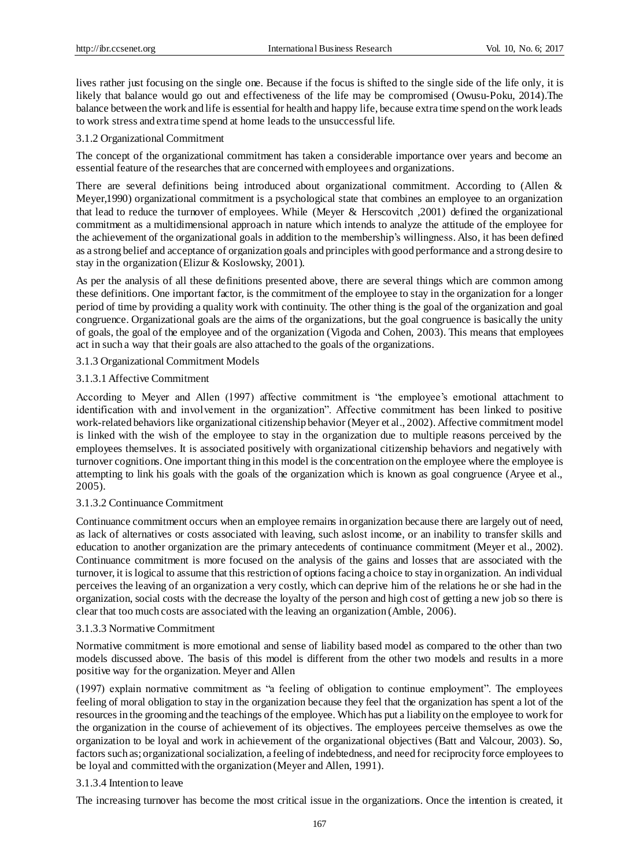lives rather just focusing on the single one. Because if the focus is shifted to the single side of the life only, it is likely that balance would go out and effectiveness of the life may be compromised (Owusu-Poku, 2014).The balance between the work and life is essential for health and happy life, because extra time spend on the work leads to work stress and extra time spend at home leads to the unsuccessful life.

## 3.1.2 Organizational Commitment

The concept of the organizational commitment has taken a considerable importance over years and become an essential feature of the researches that are concerned with employees and organizations.

There are several definitions being introduced about organizational commitment. According to (Allen & Meyer,1990) organizational commitment is a psychological state that combines an employee to an organization that lead to reduce the turnover of employees. While (Meyer & Herscovitch ,2001) defined the organizational commitment as a multidimensional approach in nature which intends to analyze the attitude of the employee for the achievement of the organizational goals in addition to the membership's willingness. Also, it has been defined as a strong belief and acceptance of organization goals and principles with good performance and a strong desire to stay in the organization (Elizur & Koslowsky, 2001).

As per the analysis of all these definitions presented above, there are several things which are common among these definitions. One important factor, is the commitment of the employee to stay in the organization for a longer period of time by providing a quality work with continuity. The other thing is the goal of the organization and goal congruence. Organizational goals are the aims of the organizations, but the goal congruence is basically the unity of goals, the goal of the employee and of the organization (Vigoda and Cohen, 2003). This means that employees act in such a way that their goals are also attached to the goals of the organizations.

## 3.1.3 Organizational Commitment Models

## 3.1.3.1 Affective Commitment

According to Meyer and Allen (1997) affective commitment is "the employee's emotional attachment to identification with and involvement in the organization". Affective commitment has been linked to positive work-related behaviors like organizational citizenship behavior (Meyer et al., 2002). Affective commitment model is linked with the wish of the employee to stay in the organization due to multiple reasons perceived by the employees themselves. It is associated positively with organizational citizenship behaviors and negatively with turnover cognitions. One important thing in this model is the concentration on the employee where the employee is attempting to link his goals with the goals of the organization which is known as goal congruence (Aryee et al., 2005).

## 3.1.3.2 Continuance Commitment

Continuance commitment occurs when an employee remains in organization because there are largely out of need, as lack of alternatives or costs associated with leaving, such aslost income, or an inability to transfer skills and education to another organization are the primary antecedents of continuance commitment (Meyer et al., 2002). Continuance commitment is more focused on the analysis of the gains and losses that are associated with the turnover, it is logical to assume that this restriction of options facing a choice to stay in organization. An individual perceives the leaving of an organization a very costly, which can deprive him of the relations he or she had in the organization, social costs with the decrease the loyalty of the person and high cost of getting a new job so there is clear that too much costs are associated with the leaving an organization (Amble, 2006).

## 3.1.3.3 Normative Commitment

Normative commitment is more emotional and sense of liability based model as compared to the other than two models discussed above. The basis of this model is different from the other two models and results in a more positive way for the organization. Meyer and Allen

(1997) explain normative commitment as "a feeling of obligation to continue employment". The employees feeling of moral obligation to stay in the organization because they feel that the organization has spent a lot of the resources in the grooming and the teachings of the employee. Which has put a liability on the employee to work for the organization in the course of achievement of its objectives. The employees perceive themselves as owe the organization to be loyal and work in achievement of the organizational objectives (Batt and Valcour, 2003). So, factors such as; organizational socialization, a feeling of indebtedness, and need for reciprocity force employees to be loyal and committed with the organization (Meyer and Allen, 1991).

## 3.1.3.4 Intention to leave

The increasing turnover has become the most critical issue in the organizations. Once the intention is created, it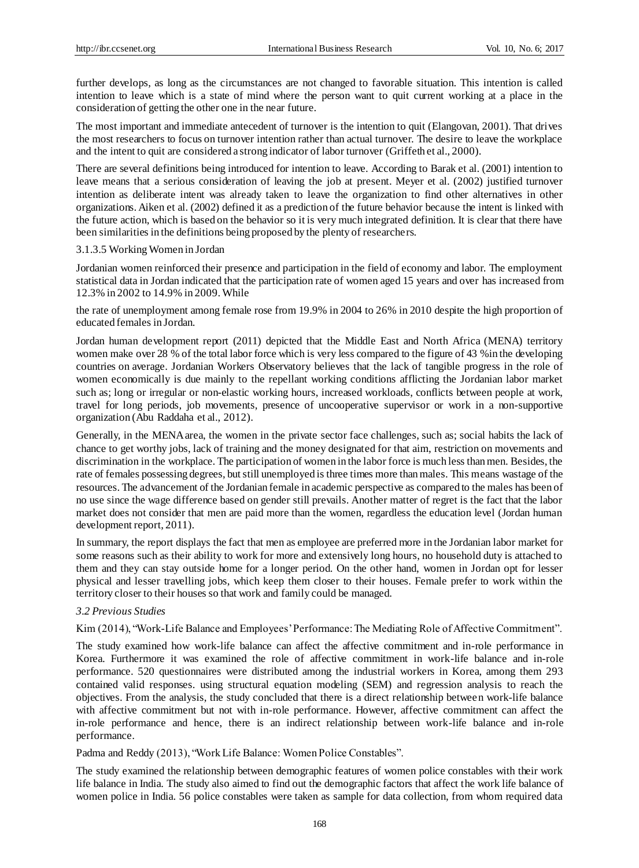further develops, as long as the circumstances are not changed to favorable situation. This intention is called intention to leave which is a state of mind where the person want to quit current working at a place in the consideration of getting the other one in the near future.

The most important and immediate antecedent of turnover is the intention to quit (Elangovan, 2001). That drives the most researchers to focus on turnover intention rather than actual turnover. The desire to leave the workplace and the intent to quit are considered a strong indicator of labor turnover (Griffeth et al., 2000).

There are several definitions being introduced for intention to leave. According to Barak et al. (2001) intention to leave means that a serious consideration of leaving the job at present. Meyer et al. (2002) justified turnover intention as deliberate intent was already taken to leave the organization to find other alternatives in other organizations. Aiken et al. (2002) defined it as a prediction of the future behavior because the intent is linked with the future action, which is based on the behavior so it is very much integrated definition. It is clear that there have been similarities in the definitions being proposed by the plenty of researchers.

#### 3.1.3.5 Working Women in Jordan

Jordanian women reinforced their presence and participation in the field of economy and labor. The employment statistical data in Jordan indicated that the participation rate of women aged 15 years and over has increased from 12.3% in 2002 to 14.9% in 2009. While

the rate of unemployment among female rose from 19.9% in 2004 to 26% in 2010 despite the high proportion of educated females in Jordan.

Jordan human development report (2011) depicted that the Middle East and North Africa (MENA) territory women make over 28 % of the total labor force which is very less compared to the figure of 43 %in the developing countries on average. Jordanian Workers Observatory believes that the lack of tangible progress in the role of women economically is due mainly to the repellant working conditions afflicting the Jordanian labor market such as; long or irregular or non-elastic working hours, increased workloads, conflicts between people at work, travel for long periods, job movements, presence of uncooperative supervisor or work in a non-supportive organization (Abu Raddaha et al., 2012).

Generally, in the MENA area, the women in the private sector face challenges, such as; social habits the lack of chance to get worthy jobs, lack of training and the money designated for that aim, restriction on movements and discrimination in the workplace. The participation of women in the labor force is much less than men. Besides, the rate of females possessing degrees, but still unemployed is three times more than males. This means wastage of the resources. The advancement of the Jordanian female in academic perspective as compared to the males has been of no use since the wage difference based on gender still prevails. Another matter of regret is the fact that the labor market does not consider that men are paid more than the women, regardless the education level (Jordan human development report, 2011).

In summary, the report displays the fact that men as employee are preferred more in the Jordanian labor market for some reasons such as their ability to work for more and extensively long hours, no household duty is attached to them and they can stay outside home for a longer period. On the other hand, women in Jordan opt for lesser physical and lesser travelling jobs, which keep them closer to their houses. Female prefer to work within the territory closer to their houses so that work and family could be managed.

#### *3.2 Previous Studies*

Kim (2014), "Work-Life Balance and Employees' Performance: The Mediating Role of Affective Commitment".

The study examined how work-life balance can affect the affective commitment and in-role performance in Korea. Furthermore it was examined the role of affective commitment in work-life balance and in-role performance. 520 questionnaires were distributed among the industrial workers in Korea, among them 293 contained valid responses. using structural equation modeling (SEM) and regression analysis to reach the objectives. From the analysis, the study concluded that there is a direct relationship between work-life balance with affective commitment but not with in-role performance. However, affective commitment can affect the in-role performance and hence, there is an indirect relationship between work-life balance and in-role performance.

Padma and Reddy (2013), "Work Life Balance: Women Police Constables".

The study examined the relationship between demographic features of women police constables with their work life balance in India. The study also aimed to find out the demographic factors that affect the work life balance of women police in India. 56 police constables were taken as sample for data collection, from whom required data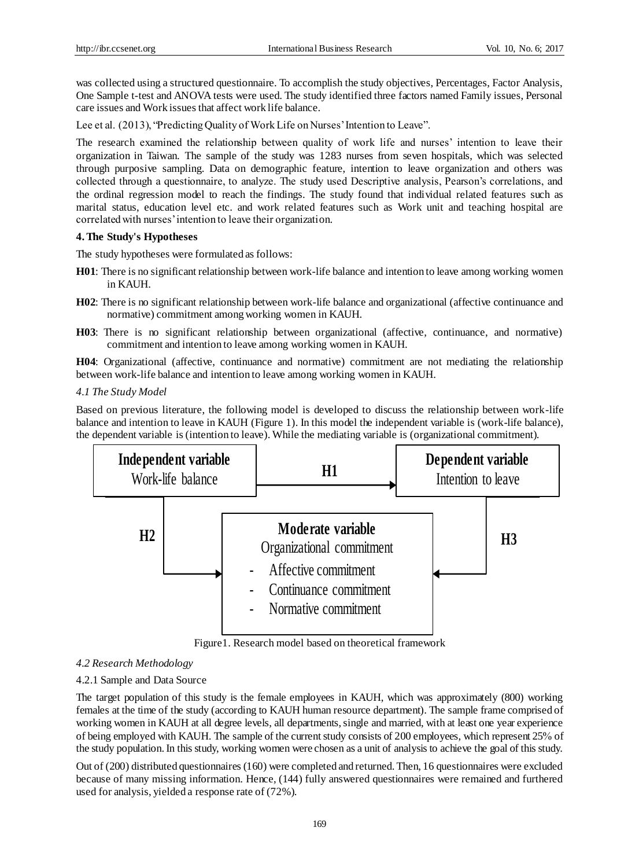was collected using a structured questionnaire. To accomplish the study objectives, Percentages, Factor Analysis, One Sample t-test and ANOVA tests were used. The study identified three factors named Family issues, Personal care issues and Work issues that affect work life balance.

Lee et al. (2013), "Predicting Quality of Work Life on Nurses' Intention to Leave".

The research examined the relationship between quality of work life and nurses' intention to leave their organization in Taiwan. The sample of the study was 1283 nurses from seven hospitals, which was selected through purposive sampling. Data on demographic feature, intention to leave organization and others was collected through a questionnaire, to analyze. The study used Descriptive analysis, Pearson's correlations, and the ordinal regression model to reach the findings. The study found that individual related features such as marital status, education level etc. and work related features such as Work unit and teaching hospital are correlated with nurses' intention to leave their organization.

#### **4.The Study's Hypotheses**

The study hypotheses were formulated as follows:

- **H01**: There is no significant relationship between work-life balance and intention to leave among working women in KAUH.
- **H02**: There is no significant relationship between work-life balance and organizational (affective continuance and normative) commitment among working women in KAUH.
- **H03**: There is no significant relationship between organizational (affective, continuance, and normative) commitment and intention to leave among working women in KAUH.

**H04**: Organizational (affective, continuance and normative) commitment are not mediating the relationship between work-life balance and intention to leave among working women in KAUH.

### *4.1 The Study Model*

Based on previous literature, the following model is developed to discuss the relationship between work-life balance and intention to leave in KAUH (Figure 1). In this model the independent variable is (work-life balance), the dependent variable is (intention to leave). While the mediating variable is (organizational commitment).



Figure1. Research model based on theoretical framework

## *4.2 Research Methodology*

## 4.2.1 Sample and Data Source

The target population of this study is the female employees in KAUH, which was approximately (800) working females at the time of the study (according to KAUH human resource department). The sample frame comprised of working women in KAUH at all degree levels, all departments, single and married, with at least one year experience of being employed with KAUH. The sample of the current study consists of 200 employees, which represent 25% of the study population. In this study, working women were chosen as a unit of analysis to achieve the goal of this study.

Out of (200) distributed questionnaires (160) were completed and returned. Then, 16 questionnaires were excluded because of many missing information. Hence, (144) fully answered questionnaires were remained and furthered used for analysis, yielded a response rate of (72%).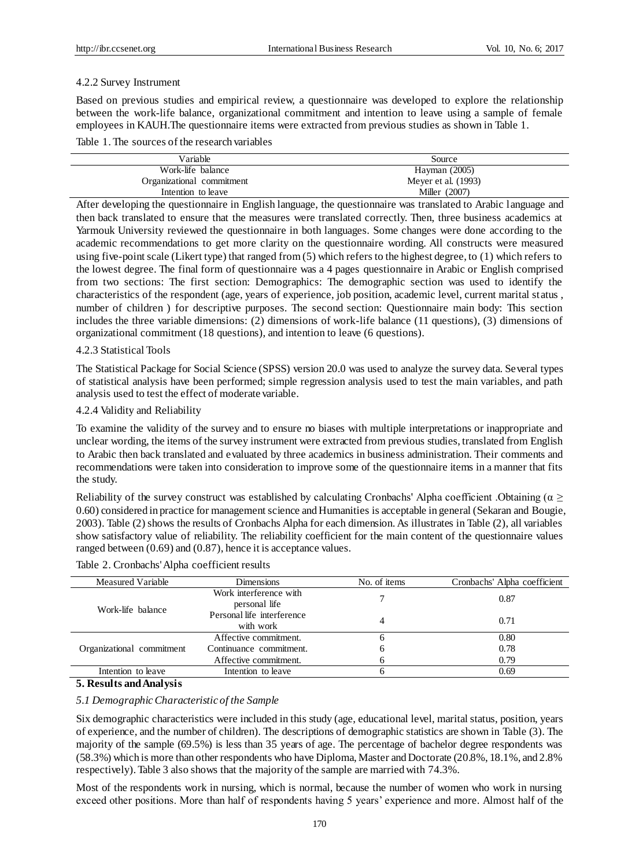#### 4.2.2 Survey Instrument

Based on previous studies and empirical review, a questionnaire was developed to explore the relationship between the work-life balance, organizational commitment and intention to leave using a sample of female employees in KAUH.The questionnaire items were extracted from previous studies as shown in Table 1.

Table 1. The sources of the research variables

| Variable                  | Source              |
|---------------------------|---------------------|
| Work-life balance         | Hayman $(2005)$     |
| Organizational commitment | Meyer et al. (1993) |
| Intention to leave        | Miller (2007)       |

After developing the questionnaire in English language, the questionnaire was translated to Arabic language and then back translated to ensure that the measures were translated correctly. Then, three business academics at Yarmouk University reviewed the questionnaire in both languages. Some changes were done according to the academic recommendations to get more clarity on the questionnaire wording. All constructs were measured using five-point scale (Likert type) that ranged from (5) which refers to the highest degree, to (1) which refers to the lowest degree. The final form of questionnaire was a 4 pages questionnaire in Arabic or English comprised from two sections: The first section: Demographics: The demographic section was used to identify the characteristics of the respondent (age, years of experience, job position, academic level, current marital status , number of children ) for descriptive purposes. The second section: Questionnaire main body: This section includes the three variable dimensions: (2) dimensions of work-life balance (11 questions), (3) dimensions of organizational commitment (18 questions), and intention to leave (6 questions).

#### 4.2.3 Statistical Tools

The Statistical Package for Social Science (SPSS) version 20.0 was used to analyze the survey data. Several types of statistical analysis have been performed; simple regression analysis used to test the main variables, and path analysis used to test the effect of moderate variable.

#### 4.2.4 Validity and Reliability

To examine the validity of the survey and to ensure no biases with multiple interpretations or inappropriate and unclear wording, the items of the survey instrument were extracted from previous studies, translated from English to Arabic then back translated and evaluated by three academics in business administration. Their comments and recommendations were taken into consideration to improve some of the questionnaire items in a manner that fits the study.

Reliability of the survey construct was established by calculating Cronbachs' Alpha coefficient .Obtaining ( $\alpha \geq$ 0.60) considered in practice for management science and Humanities is acceptable in general (Sekaran and Bougie, 2003). Table (2) shows the results of Cronbachs Alpha for each dimension. As illustrates in Table (2), all variables show satisfactory value of reliability. The reliability coefficient for the main content of the questionnaire values ranged between (0.69) and (0.87), hence it is acceptance values.

#### Table 2. Cronbachs' Alpha coefficient results

| Measured Variable         | <b>Dimensions</b>                       | No. of items | Cronbachs' Alpha coefficient |  |
|---------------------------|-----------------------------------------|--------------|------------------------------|--|
| Work-life balance         | Work interference with<br>personal life |              | 0.87                         |  |
|                           | Personal life interference<br>with work | 4            | 0.71                         |  |
|                           | Affective commitment.                   | n            | 0.80                         |  |
| Organizational commitment | Continuance commitment.                 | 6            | 0.78                         |  |
|                           | Affective commitment.                   | <sub>0</sub> | 0.79                         |  |
| Intention to leave        | Intention to leave                      |              | 0.69                         |  |

#### **5. Results and Analysis**

#### *5.1 Demographic Characteristic of the Sample*

Six demographic characteristics were included in this study (age, educational level, marital status, position, years of experience, and the number of children). The descriptions of demographic statistics are shown in Table (3). The majority of the sample (69.5%) is less than 35 years of age. The percentage of bachelor degree respondents was (58.3%) which is more than other respondents who have Diploma, Master and Doctorate (20.8%, 18.1%, and 2.8% respectively). Table 3 also shows that the majority of the sample are married with 74.3%.

Most of the respondents work in nursing, which is normal, because the number of women who work in nursing exceed other positions. More than half of respondents having 5 years' experience and more. Almost half of the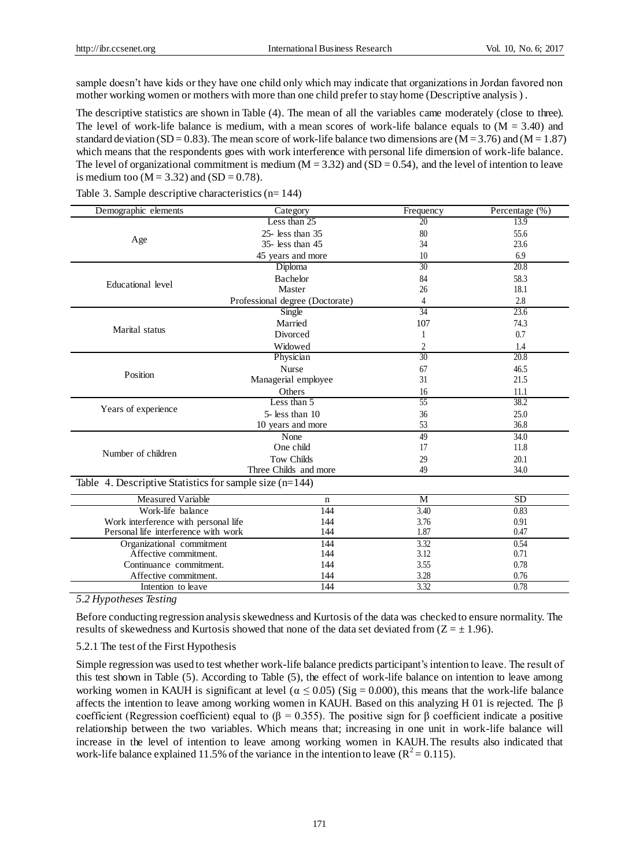sample doesn't have kids or they have one child only which may indicate that organizations in Jordan favored non mother working women or mothers with more than one child prefer to stay home (Descriptive analysis ) .

The descriptive statistics are shown in Table (4). The mean of all the variables came moderately (close to three). The level of work-life balance is medium, with a mean scores of work-life balance equals to  $(M = 3.40)$  and standard de viation (SD = 0.83). The mean score of work-life balance two dimensions are  $(M = 3.76)$  and  $(M = 1.87)$ which means that the respondents goes with work interference with personal life dimension of work-life balance. The level of organizational commitment is medium  $(M = 3.32)$  and  $(SD = 0.54)$ , and the level of intention to leave is medium too ( $M = 3.32$ ) and (SD = 0.78).

| Demographic elements                                      | Category                        | Frequency       | Percentage (%) |
|-----------------------------------------------------------|---------------------------------|-----------------|----------------|
|                                                           | Less than 25                    | 20              | 13.9           |
|                                                           | $25$ - less than $35$           | 80              | 55.6           |
| Age                                                       | 35- less than 45                | 34              | 23.6           |
|                                                           | 45 years and more               | 10              | 6.9            |
|                                                           | Diploma                         | $\overline{30}$ | 20.8           |
| Educational level                                         | Bachelor                        | 84              | 58.3           |
|                                                           | Master                          | 26              | 18.1           |
|                                                           | Professional degree (Doctorate) | 4               | 2.8            |
|                                                           | Single                          | 34              | 23.6           |
| Marital status                                            | Married                         | 107             | 74.3           |
|                                                           | Divorced                        |                 | 0.7            |
|                                                           | Widowed                         | 2               | 1.4            |
|                                                           | Physician                       | $\overline{30}$ | 20.8           |
|                                                           | <b>Nurse</b>                    | 67              | 46.5           |
| Position                                                  | Managerial employee             | 31              | 21.5           |
|                                                           | Others                          | 16              | 11.1           |
|                                                           | Less than $5$                   | 55              | 38.2           |
| Years of experience                                       | 5- less than 10                 | 36              | 25.0           |
|                                                           | 10 years and more               | 53              | 36.8           |
|                                                           | None                            | 49              | 34.0           |
| Number of children                                        | One child                       | 17              | 11.8           |
|                                                           | <b>Tow Childs</b>               | 29              | 20.1           |
|                                                           | Three Childs and more           | 49              | 34.0           |
| Table 4. Descriptive Statistics for sample size $(n=144)$ |                                 |                 |                |
| <b>Measured Variable</b>                                  | n                               | M               | <b>SD</b>      |
| Work-life balance                                         | 144                             | 3.40            | 0.83           |
| Work interference with personal life                      | 144                             | 3.76            | 0.91           |
| Personal life interference with work                      | 144                             | 1.87            | 0.47           |
| Organizational commitment                                 | 144                             | 3.32            | 0.54           |
| Affective commitment.                                     | 144                             | 3.12            | 0.71           |
| Continuance commitment.                                   | 144                             | 3.55            | 0.78           |
| Affective commitment.                                     | 144                             | 3.28            | 0.76           |
| Intention to leave                                        | 144                             | 3.32            | 0.78           |
|                                                           |                                 |                 |                |

Table 3. Sample descriptive characteristics (n= 144)

*5.2 Hypotheses Testing*

Before conducting regression analysis skewedness and Kurtosis of the data was checked to ensure normality. The results of skewedness and Kurtosis showed that none of the data set deviated from  $(Z = \pm 1.96)$ .

#### 5.2.1 The test of the First Hypothesis

Simple regression was used to test whether work-life balance predicts participant's intention to leave. The result of this test shown in Table (5). According to Table (5), the effect of work-life balance on intention to leave among working women in KAUH is significant at level ( $\alpha \le 0.05$ ) (Sig = 0.000), this means that the work-life balance affects the intention to leave among working women in KAUH. Based on this analyzing H 01 is rejected. The β coefficient (Regression coefficient) equal to (β = 0.355). The positive sign for β coefficient indicate a positive relationship between the two variables. Which means that; increasing in one unit in work-life balance will increase in the level of intention to leave among working women in KAUH.The results also indicated that work-life balance explained 11.5% of the variance in the intention to leave ( $R^2 = 0.115$ ).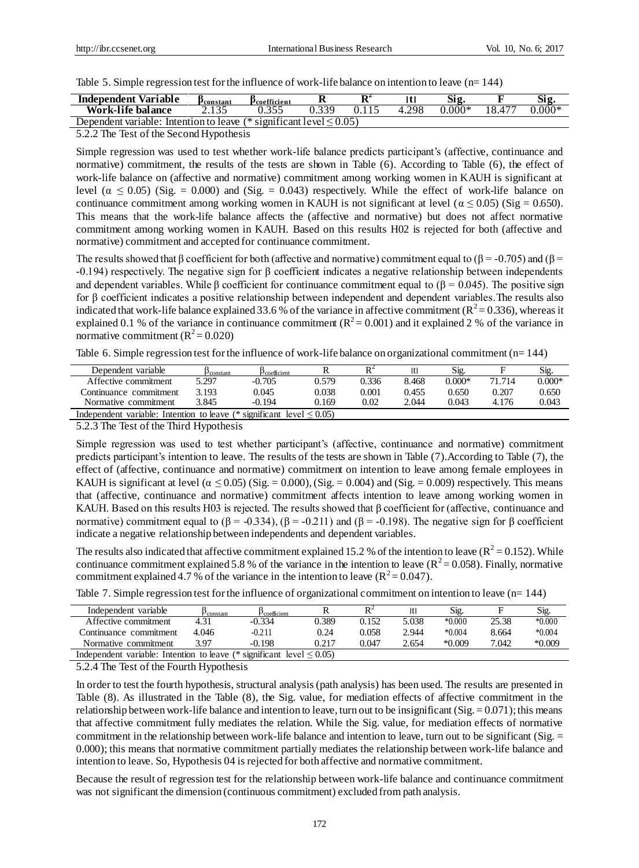Table 5. Simple regression test for the influence of work-life balance on intention to leave (n= 144)

| <b>Independent Variable</b>                                                             | Pconstant | Pcoefficient | n | D4<br>v |            | Sig      |        | Sig      |
|-----------------------------------------------------------------------------------------|-----------|--------------|---|---------|------------|----------|--------|----------|
| Work-life balance                                                                       |           |              |   |         | 298<br>4.4 | $0.000*$ | 18.477 | $0.000*$ |
| . .<br>$\le$ significant level $\le$ 0.05)<br>Dependent variable:<br>Intention to leave |           |              |   |         |            |          |        |          |

5.2.2 The Test of the Second Hypothesis

Simple regression was used to test whether work-life balance predicts participant's (affective, continuance and normative) commitment, the results of the tests are shown in Table (6). According to Table (6), the effect of work-life balance on (affective and normative) commitment among working women in KAUH is significant at level ( $\alpha \le 0.05$ ) (Sig. = 0.000) and (Sig. = 0.043) respectively. While the effect of work-life balance on continuance commitment among working women in KAUH is not significant at level ( $\alpha \le 0.05$ ) (Sig = 0.650). This means that the work-life balance affects the (affective and normative) but does not affect normative commitment among working women in KAUH. Based on this results H02 is rejected for both (affective and normative) commitment and accepted for continuance commitment.

The results showed that β coefficient for both (affective and normative) commitment equal to ( $\beta$  = -0.705) and ( $\beta$  = -0.194) respectively. The negative sign for β coefficient indicates a negative relationship between independents and dependent variables. While β coefficient for continuance commitment equal to ( $\beta$  = 0.045). The positive sign for β coefficient indicates a positive relationship between independent and dependent variables.The results also indicated that work-life balance explained 33.6 % of the variance in affective commitment ( $R^2 = 0.336$ ), whereas it explained 0.1 % of the variance in continuance commitment  $(R^2 = 0.001)$  and it explained 2 % of the variance in normative commitment  $(R^2 = 0.020)$ 

Table 6. Simple regression test for the influence of work-life balance on organizational commitment (n= 144)

| Dependent variable                                                          | constant | $P$ coefficient |       | D <sup>2</sup> |       | Sig.     |        | Sig.     |
|-----------------------------------------------------------------------------|----------|-----------------|-------|----------------|-------|----------|--------|----------|
| Affective commitment                                                        | 5.297    | $-0.705$        | 0.579 | 0.336          | 8.468 | $0.000*$ | 71.714 | $0.000*$ |
| Continuance commitment                                                      | 3.193    | 0.045           | 0.038 | 0.001          | 0.455 | 0.650    | 0.207  | 0.650    |
| Normative commitment                                                        | 3.845    | $-0.194$        | 0.169 | 0.02           | 2.044 | 0.043    | 4.176  | 0.043    |
| Independent variable: Intention to leave (* significant level $\leq 0.05$ ) |          |                 |       |                |       |          |        |          |

5.2.3 The Test of the Third Hypothesis

Simple regression was used to test whether participant's (affective, continuance and normative) commitment predicts participant's intention to leave. The results of the tests are shown in Table (7).According to Table (7), the effect of (affective, continuance and normative) commitment on intention to leave among female employees in KAUH is significant at level ( $\alpha \le 0.05$ ) (Sig. = 0.000), (Sig. = 0.004) and (Sig. = 0.009) respectively. This means that (affective, continuance and normative) commitment affects intention to leave among working women in KAUH. Based on this results H03 is rejected. The results showed that β coefficient for (affective, continuance and normative) commitment equal to  $(β = -0.334)$ ,  $(β = -0.211)$  and  $(β = -0.198)$ . The negative sign for β coefficient indicate a negative relationship between independents and dependent variables.

The results also indicated that affective commitment explained 15.2 % of the intention to leave ( $R^2 = 0.152$ ). While continuance commitment explained 5.8 % of the variance in the intention to leave ( $R^2$  = 0.058). Finally, normative commitment explained 4.7 % of the variance in the intention to leave ( $\mathbb{R}^2 = 0.047$ ).

| Independent variable                                                        | constant | $P$ coefficient |       |       | Itl   | Sig      |       | Sig.     |
|-----------------------------------------------------------------------------|----------|-----------------|-------|-------|-------|----------|-------|----------|
| Affective commitment                                                        | 4.31     | $-0.334$        | 0.389 | 0.152 | 5.038 | $*0.000$ | 25.38 | $*0.000$ |
| Continuance commitment                                                      | 4.046    | -0.211          | 0.24  | 0.058 | 2.944 | $*0.004$ | 8.664 | $*0.004$ |
| Normative commitment                                                        | 3 Q7     | $-0.198$        | 0.217 | 0.047 | 2.654 | $*0.009$ | 7.042 | $*0.009$ |
| Independent variable: Intention to leave (* significant level $\leq 0.05$ ) |          |                 |       |       |       |          |       |          |

Table 7. Simple regression test for the influence of organizational commitment on intention to leave (n= 144)

5.2.4 The Test of the Fourth Hypothesis

In order to test the fourth hypothesis, structural analysis (path analysis) has been used. The results are presented in Table (8). As illustrated in the Table (8), the Sig. value, for mediation effects of affective commitment in the relationship between work-life balance and intention to leave, turn out to be insignificant (Sig.  $= 0.071$ ); this means that affective commitment fully mediates the relation. While the Sig. value, for mediation effects of normative commitment in the relationship between work-life balance and intention to leave, turn out to be significant (Sig.  $=$ 0.000); this means that normative commitment partially mediates the relationship between work-life balance and intention to leave. So, Hypothesis 04 is rejected for both affective and normative commitment.

Because the result of regression test for the relationship between work-life balance and continuance commitment was not significant the dimension (continuous commitment) excluded from path analysis.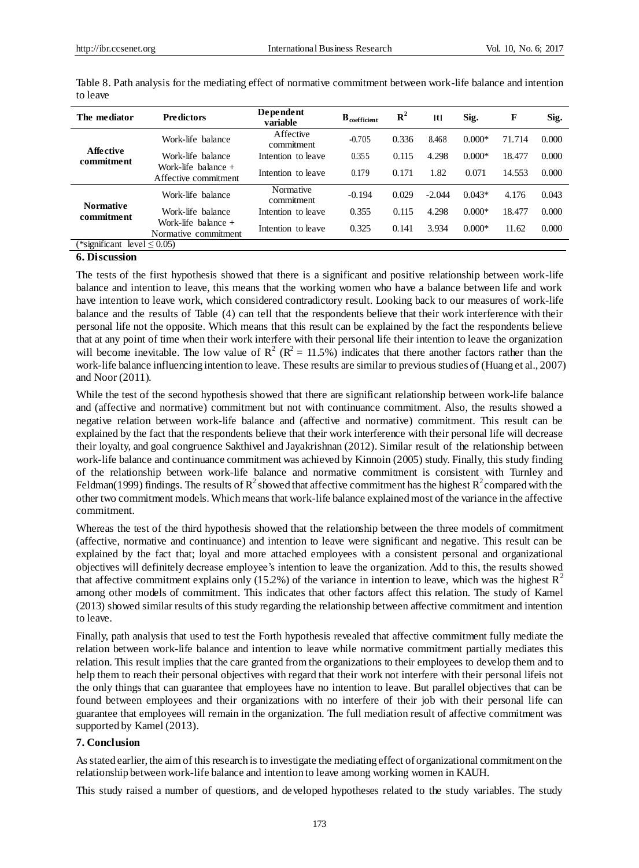| The mediator                   | <b>Predictors</b>                             | Dependent<br>variable   | $B_{\text{coefficient}}$ | ${\bf R}^2$ | Itl      | Sig.     | F      | Sig.  |
|--------------------------------|-----------------------------------------------|-------------------------|--------------------------|-------------|----------|----------|--------|-------|
|                                | Work-life balance                             | Affective<br>commitment | $-0.705$                 | 0.336       | 8.468    | $0.000*$ | 71.714 | 0.000 |
| Affective<br>commitment        | Work-life balance                             | Intention to leave      | 0.355                    | 0.115       | 4.298    | $0.000*$ | 18.477 | 0.000 |
|                                | Work-life balance $+$<br>Affective commitment | Intention to leave      | 0.179                    | 0.171       | 1.82     | 0.071    | 14.553 | 0.000 |
|                                | Work-life balance                             | Normative<br>commitment | $-0.194$                 | 0.029       | $-2.044$ | $0.043*$ | 4.176  | 0.043 |
| <b>Normative</b><br>commitment | Work-life balance                             | Intention to leave      | 0.355                    | 0.115       | 4.298    | $0.000*$ | 18.477 | 0.000 |
|                                | Work-life balance $+$<br>Normative commitment | Intention to leave      | 0.325                    | 0.141       | 3.934    | $0.000*$ | 11.62  | 0.000 |
| (*significant)                 | level $\leq 0.05$                             |                         |                          |             |          |          |        |       |

Table 8. Path analysis for the mediating effect of normative commitment between work-life balance and intention to leave

#### **6. Discussion**

The tests of the first hypothesis showed that there is a significant and positive relationship between work-life balance and intention to leave, this means that the working women who have a balance between life and work have intention to leave work, which considered contradictory result. Looking back to our measures of work-life balance and the results of Table (4) can tell that the respondents believe that their work interference with their personal life not the opposite. Which means that this result can be explained by the fact the respondents believe that at any point of time when their work interfere with their personal life their intention to leave the organization will become inevitable. The low value of  $R^2 (R^2 = 11.5\%)$  indicates that there another factors rather than the work-life balance influencing intention to leave. These results are similar to previous studies of (Huang et al., 2007) and Noor (2011).

While the test of the second hypothesis showed that there are significant relationship between work-life balance and (affective and normative) commitment but not with continuance commitment. Also, the results showed a negative relation between work-life balance and (affective and normative) commitment. This result can be explained by the fact that the respondents believe that their work interference with their personal life will decrease their loyalty, and goal congruence Sakthivel and Jayakrishnan (2012). Similar result of the relationship between work-life balance and continuance commitment was achieved by Kinnoin (2005) study. Finally, this study finding of the relationship between work-life balance and normative commitment is consistent with Turnley and Feldman(1999) findings. The results of  $R^2$  showed that affective commitment has the highest  $R^2$  compared with the other two commitment models. Which means that work-life balance explained most of the variance in the affective commitment.

Whereas the test of the third hypothesis showed that the relationship between the three models of commitment (affective, normative and continuance) and intention to leave were significant and negative. This result can be explained by the fact that; loyal and more attached employees with a consistent personal and organizational objectives will definitely decrease employee's intention to leave the organization. Add to this, the results showed that affective commitment explains only (15.2%) of the variance in intention to leave, which was the highest  $R^2$ among other models of commitment. This indicates that other factors affect this relation. The study of Kamel (2013) showed similar results of this study regarding the relationship between affective commitment and intention to leave.

Finally, path analysis that used to test the Forth hypothesis revealed that affective commitment fully mediate the relation between work-life balance and intention to leave while normative commitment partially mediates this relation. This result implies that the care granted from the organizations to their employees to develop them and to help them to reach their personal objectives with regard that their work not interfere with their personal lifeis not the only things that can guarantee that employees have no intention to leave. But parallel objectives that can be found between employees and their organizations with no interfere of their job with their personal life can guarantee that employees will remain in the organization. The full mediation result of affective commitment was supported by Kamel (2013).

#### **7. Conclusion**

As stated earlier, the aim of this research is to investigate the mediating effect of organizational commitment on the relationship between work-life balance and intention to leave among working women in KAUH.

This study raised a number of questions, and developed hypotheses related to the study variables. The study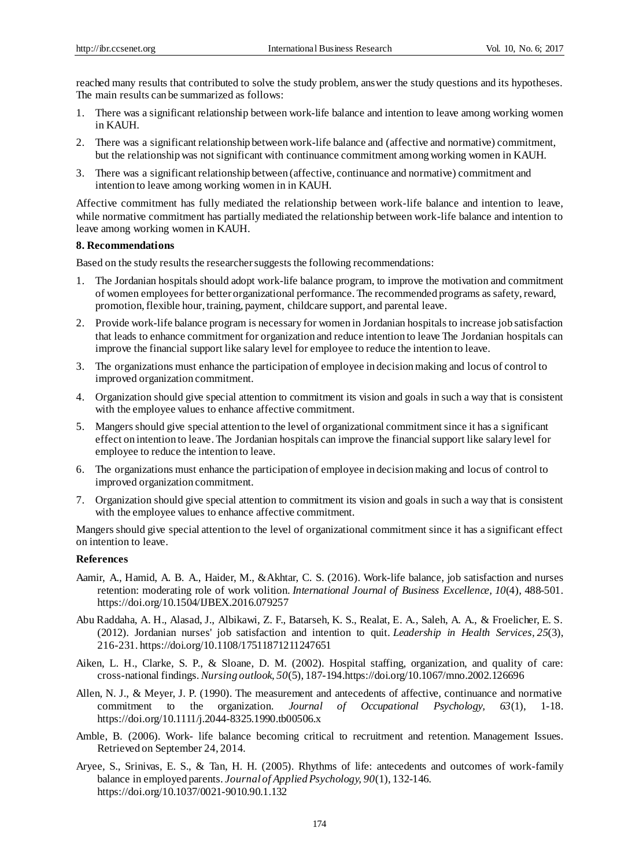reached many results that contributed to solve the study problem, answer the study questions and its hypotheses. The main results can be summarized as follows:

- 1. There was a significant relationship between work-life balance and intention to leave among working women in KAUH.
- 2. There was a significant relationship between work-life balance and (affective and normative) commitment, but the relationship was not significant with continuance commitment among working women in KAUH.
- 3. There was a significant relationship between (affective, continuance and normative) commitment and intention to leave among working women in in KAUH.

Affective commitment has fully mediated the relationship between work-life balance and intention to leave, while normative commitment has partially mediated the relationship between work-life balance and intention to leave among working women in KAUH.

### **8. Recommendations**

Based on the study results the researcher suggests the following recommendations:

- 1. The Jordanian hospitals should adopt work-life balance program, to improve the motivation and commitment of women employees for better organizational performance. The recommended programs as safety, reward, promotion, flexible hour, training, payment, childcare support, and parental leave.
- 2. Provide work-life balance program is necessary for women in Jordanian hospitals to increase job satisfaction that leads to enhance commitment for organization and reduce intention to leave The Jordanian hospitals can improve the financial support like salary level for employee to reduce the intention to leave.
- 3. The organizations must enhance the participation of employee in decision making and locus of control to improved organization commitment.
- 4. Organization should give special attention to commitment its vision and goals in such a way that is consistent with the employee values to enhance affective commitment.
- 5. Mangers should give special attention to the level of organizational commitment since it has a significant effect on intention to leave. The Jordanian hospitals can improve the financial support like salary level for employee to reduce the intention to leave.
- 6. The organizations must enhance the participation of employee in decision making and locus of control to improved organization commitment.
- 7. Organization should give special attention to commitment its vision and goals in such a way that is consistent with the employee values to enhance affective commitment.

Mangers should give special attention to the level of organizational commitment since it has a significant effect on intention to leave.

#### **References**

- Aamir, A., Hamid, A. B. A., Haider, M., &Akhtar, C. S. (2016). Work-life balance, job satisfaction and nurses retention: moderating role of work volition. *International Journal of Business Excellence, 10*(4), 488-501. https://doi.org/10.1504/IJBEX.2016.079257
- Abu Raddaha, A. H., Alasad, J., Albikawi, Z. F., Batarseh, K. S., Realat, E. A., Saleh, A. A., & Froelicher, E. S. (2012). Jordanian nurses' job satisfaction and intention to quit. *Leadership in Health Services, 25*(3), 216-231. https://doi.org/10.1108/17511871211247651
- Aiken, L. H., Clarke, S. P., & Sloane, D. M. (2002). Hospital staffing, organization, and quality of care: cross-national findings. *Nursing outlook, 50*(5), 187-194.https://doi.org/10.1067/mno.2002.126696
- Allen, N. J., & Meyer, J. P. (1990). The measurement and antecedents of affective, continuance and normative commitment to the organization. *Journal of Occupational Psychology, 63*(1), 1-18. https://doi.org/10.1111/j.2044-8325.1990.tb00506.x
- Amble, B. (2006). Work- life balance becoming critical to recruitment and retention. Management Issues. Retrieved on September 24, 2014.
- Aryee, S., Srinivas, E. S., & Tan, H. H. (2005). Rhythms of life: antecedents and outcomes of work-family balance in employed parents. *Journal of Applied Psychology, 90*(1), 132-146. https://doi.org/10.1037/0021-9010.90.1.132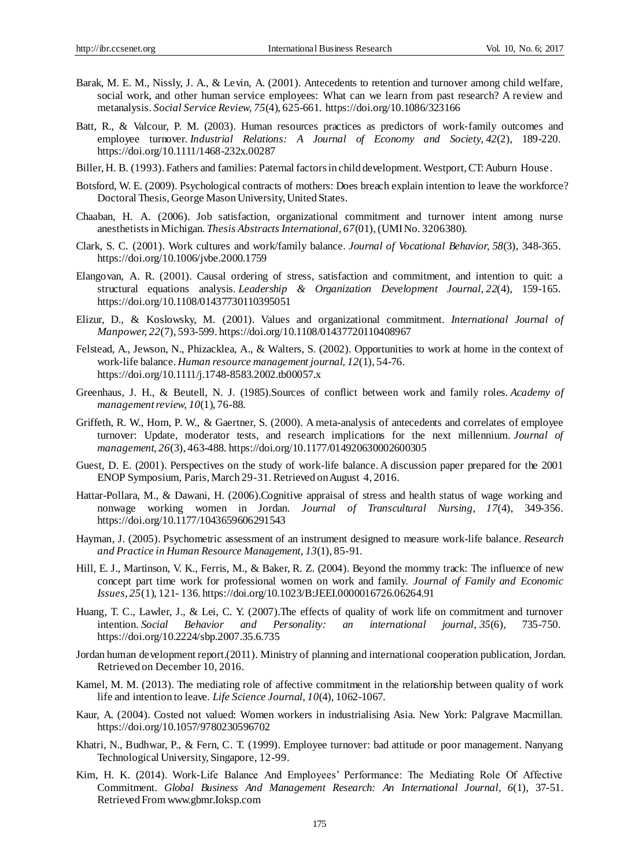- Barak, M. E. M., Nissly, J. A., & Levin, A. (2001). Antecedents to retention and turnover among child welfare, social work, and other human service employees: What can we learn from past research? A review and metanalysis. *Social Service Review, 75*(4), 625-661. https://doi.org/10.1086/323166
- Batt, R., & Valcour, P. M. (2003). Human resources practices as predictors of work‐family outcomes and employee turnover. *Industrial Relations: A Journal of Economy and Society, 42*(2), 189-220. https://doi.org/10.1111/1468-232x.00287
- Biller, H. B. (1993). Fathers and families: Paternal factors in child development. Westport, CT: Auburn House .
- Botsford, W. E. (2009). Psychological contracts of mothers: Does breach explain intention to leave the workforce? Doctoral Thesis, George Mason University, United States.
- Chaaban, H. A. (2006). Job satisfaction, organizational commitment and turnover intent among nurse anesthetists in Michigan. *Thesis Abstracts International, 67*(01), (UMI No. 3206380).
- Clark, S. C. (2001). Work cultures and work/family balance. *Journal of Vocational Behavior, 58*(3), 348-365. https://doi.org/10.1006/jvbe.2000.1759
- Elangovan, A. R. (2001). Causal ordering of stress, satisfaction and commitment, and intention to quit: a structural equations analysis. *Leadership & Organization Development Journal, 22*(4), 159-165. https://doi.org/10.1108/01437730110395051
- Elizur, D., & Koslowsky, M. (2001). Values and organizational commitment. *International Journal of Manpower, 22*(7), 593-599. https://doi.org/10.1108/01437720110408967
- Felstead, A., Jewson, N., Phizacklea, A., & Walters, S. (2002). Opportunities to work at home in the context of work‐life balance. *Human resource management journal, 12*(1), 54-76. https://doi.org/10.1111/j.1748-8583.2002.tb00057.x
- Greenhaus, J. H., & Beutell, N. J. (1985).Sources of conflict between work and family roles. *Academy of management review, 10*(1), 76-88.
- Griffeth, R. W., Hom, P. W., & Gaertner, S. (2000). A meta-analysis of antecedents and correlates of employee turnover: Update, moderator tests, and research implications for the next millennium. *Journal of management, 26*(3), 463-488. https://doi.org/10.1177/014920630002600305
- Guest, D. E. (2001). Perspectives on the study of work-life balance. A discussion paper prepared for the 2001 ENOP Symposium, Paris, March 29-31. Retrieved on August 4, 2016.
- Hattar-Pollara, M., & Dawani, H. (2006).Cognitive appraisal of stress and health status of wage working and nonwage working women in Jordan. *Journal of Transcultural Nursing, 17*(4), 349-356. https://doi.org/10.1177/1043659606291543
- Hayman, J. (2005). Psychometric assessment of an instrument designed to measure work-life balance. *Research and Practice in Human Resource Management, 13*(1), 85-91.
- Hill, E. J., Martinson, V. K., Ferris, M., & Baker, R. Z. (2004). Beyond the mommy track: The influence of new concept part time work for professional women on work and family. *Journal of Family and Economic Issues, 25*(1), 121- 136. https://doi.org/10.1023/B:JEEI.0000016726.06264.91
- Huang, T. C., Lawler, J., & Lei, C. Y. (2007).The effects of quality of work life on commitment and turnover intention. *Social Behavior and Personality: an international journal, 35*(6), 735-750. https://doi.org/10.2224/sbp.2007.35.6.735
- Jordan human development report.(2011). Ministry of planning and international cooperation publication, Jordan. Retrieved on December 10, 2016.
- Kamel, M. M. (2013). The mediating role of affective commitment in the relationship between quality of work life and intention to leave. *Life Science Journal, 10*(4), 1062-1067.
- Kaur, A. (2004). Costed not valued: Women workers in industrialising Asia. New York: Palgrave Macmillan. https://doi.org/10.1057/9780230596702
- Khatri, N., Budhwar, P., & Fern, C. T. (1999). Employee turnover: bad attitude or poor management. Nanyang Technological University, Singapore, 12-99.
- Kim, H. K. (2014). Work-Life Balance And Employees' Performance: The Mediating Role Of Affective Commitment. *Global Business And Management Research: An International Journal, 6*(1), 37-51. Retrieved From www.gbmr.Ioksp.com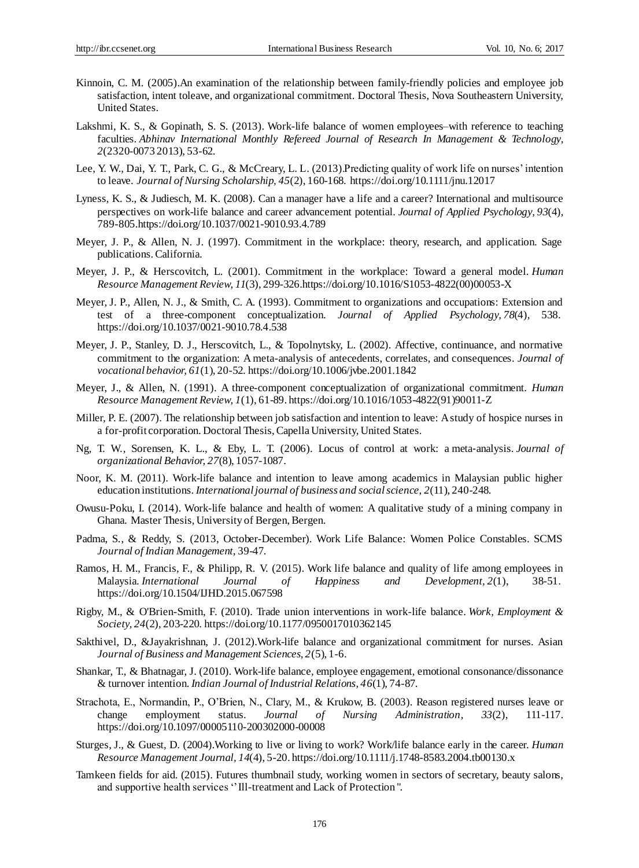- Kinnoin, C. M. (2005).An examination of the relationship between family-friendly policies and employee job satisfaction, intent toleave, and organizational commitment. Doctoral Thesis, Nova Southeastern University, United States.
- Lakshmi, K. S., & Gopinath, S. S. (2013). Work-life balance of women employees–with reference to teaching faculties. *Abhinav International Monthly Refereed Journal of Research In Management & Technology, 2*(2320-0073 2013), 53-62.
- Lee, Y. W., Dai, Y. T., Park, C. G., & McCreary, L. L. (2013).Predicting quality of work life on nurses' intention to leave. *Journal of Nursing Scholarship, 45*(2), 160-168. https://doi.org/10.1111/jnu.12017
- Lyness, K. S., & Judiesch, M. K. (2008). Can a manager have a life and a career? International and multisource perspectives on work-life balance and career advancement potential. *Journal of Applied Psychology, 93*(4), 789-805.https://doi.org/10.1037/0021-9010.93.4.789
- Meyer, J. P., & Allen, N. J. (1997). Commitment in the workplace: theory, research, and application. Sage publications. California.
- Meyer, J. P., & Herscovitch, L. (2001). Commitment in the workplace: Toward a general model. *Human Resource Management Review, 11*(3), 299-326.https://doi.org/10.1016/S1053-4822(00)00053-X
- Meyer, J. P., Allen, N. J., & Smith, C. A. (1993). Commitment to organizations and occupations: Extension and test of a three-component conceptualization. *Journal of Applied Psychology, 78*(4), 538. https://doi.org/10.1037/0021-9010.78.4.538
- Meyer, J. P., Stanley, D. J., Herscovitch, L., & Topolnytsky, L. (2002). Affective, continuance, and normative commitment to the organization: A meta-analysis of antecedents, correlates, and consequences. *Journal of vocational behavior, 61*(1), 20-52. https://doi.org/10.1006/jvbe.2001.1842
- Meyer, J., & Allen, N. (1991). A three-component conceptualization of organizational commitment. *Human Resource Management Review, 1*(1), 61-89. https://doi.org/10.1016/1053-4822(91)90011-Z
- Miller, P. E. (2007). The relationship between job satisfaction and intention to leave: A study of hospice nurses in a for-profit corporation. Doctoral Thesis, Capella University, United States.
- Ng, T. W., Sorensen, K. L., & Eby, L. T. (2006). Locus of control at work: a meta‐analysis. *Journal of organizational Behavior, 27*(8), 1057-1087.
- Noor, K. M. (2011). Work-life balance and intention to leave among academics in Malaysian public higher education institutions. *International journal of business and social science, 2*(11), 240-248.
- Owusu-Poku, I. (2014). Work-life balance and health of women: A qualitative study of a mining company in Ghana. Master Thesis, University of Bergen, Bergen.
- Padma, S., & Reddy, S. (2013, October-December). Work Life Balance: Women Police Constables. SCMS *Journal of Indian Management,* 39-47.
- Ramos, H. M., Francis, F., & Philipp, R. V. (2015). Work life balance and quality of life among employees in Malaysia. *International Journal of Happiness and Development, 2*(1), 38-51. https://doi.org/10.1504/IJHD.2015.067598
- Rigby, M., & O'Brien-Smith, F. (2010). Trade union interventions in work-life balance. *Work, Employment & Society, 24*(2), 203-220. https://doi.org/10.1177/0950017010362145
- Sakthivel, D., &Jayakrishnan, J. (2012).Work-life balance and organizational commitment for nurses. Asian *Journal of Business and Management Sciences, 2*(5), 1-6.
- Shankar, T., & Bhatnagar, J. (2010). Work-life balance, employee engagement, emotional consonance/dissonance & turnover intention. *Indian Journal of Industrial Relations, 46*(1), 74-87.
- Strachota, E., Normandin, P., O'Brien, N., Clary, M., & Krukow, B. (2003). Reason registered nurses leave or change employment status. *Journal of Nursing Administration, 33*(2), 111-117. https://doi.org/10.1097/00005110-200302000-00008
- Sturges, J., & Guest, D. (2004).Working to live or living to work? Work/life balance early in the career. *Human Resource Management Journal, 14*(4), 5-20. https://doi.org/10.1111/j.1748-8583.2004.tb00130.x
- Tamkeen fields for aid. (2015). Futures thumbnail study, working women in sectors of secretary, beauty salons, and supportive health services '' Ill-treatment and Lack of Protection ".